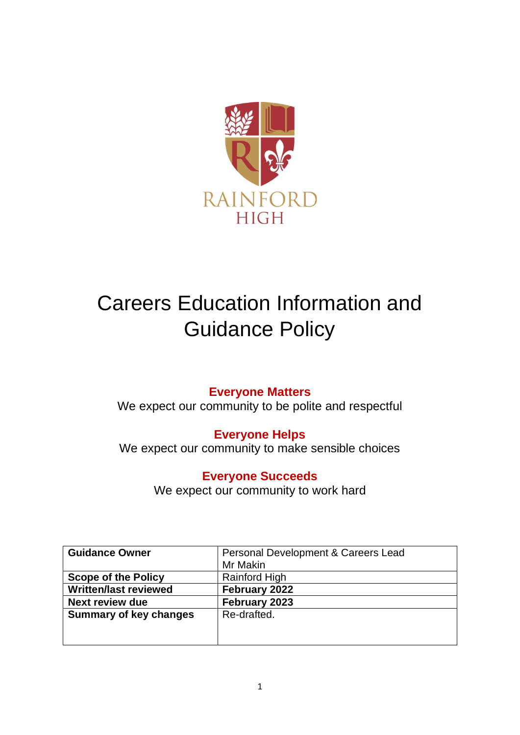

# Careers Education Information and Guidance Policy

## **Everyone Matters**

We expect our community to be polite and respectful

## **Everyone Helps**

We expect our community to make sensible choices

## **Everyone Succeeds**

We expect our community to work hard

| <b>Guidance Owner</b>         | Personal Development & Careers Lead |
|-------------------------------|-------------------------------------|
|                               | Mr Makin                            |
| <b>Scope of the Policy</b>    | <b>Rainford High</b>                |
| <b>Written/last reviewed</b>  | February 2022                       |
| <b>Next review due</b>        | February 2023                       |
| <b>Summary of key changes</b> | Re-drafted.                         |
|                               |                                     |
|                               |                                     |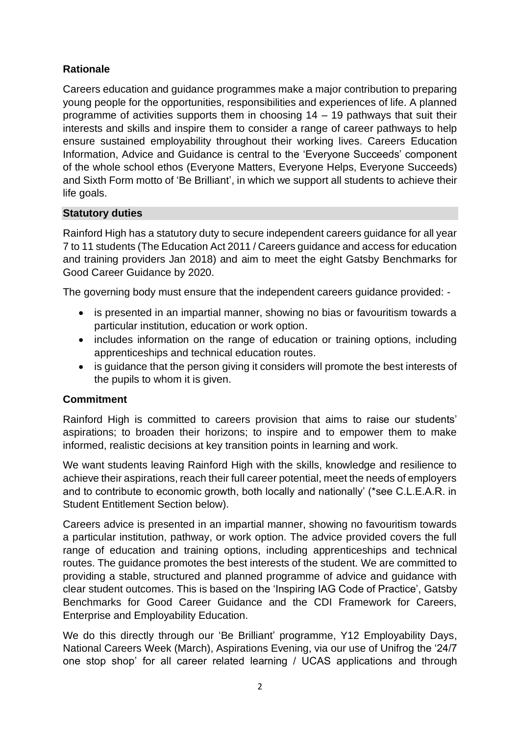#### **Rationale**

Careers education and guidance programmes make a major contribution to preparing young people for the opportunities, responsibilities and experiences of life. A planned programme of activities supports them in choosing 14 – 19 pathways that suit their interests and skills and inspire them to consider a range of career pathways to help ensure sustained employability throughout their working lives. Careers Education Information, Advice and Guidance is central to the 'Everyone Succeeds' component of the whole school ethos (Everyone Matters, Everyone Helps, Everyone Succeeds) and Sixth Form motto of 'Be Brilliant', in which we support all students to achieve their life goals.

#### **Statutory duties**

Rainford High has a statutory duty to secure independent careers guidance for all year 7 to 11 students (The Education Act 2011 / Careers guidance and access for education and training providers Jan 2018) and aim to meet the eight Gatsby Benchmarks for Good Career Guidance by 2020.

The governing body must ensure that the independent careers guidance provided: -

- is presented in an impartial manner, showing no bias or favouritism towards a particular institution, education or work option.
- includes information on the range of education or training options, including apprenticeships and technical education routes.
- is guidance that the person giving it considers will promote the best interests of the pupils to whom it is given.

#### **Commitment**

Rainford High is committed to careers provision that aims to raise our students' aspirations; to broaden their horizons; to inspire and to empower them to make informed, realistic decisions at key transition points in learning and work.

We want students leaving Rainford High with the skills, knowledge and resilience to achieve their aspirations, reach their full career potential, meet the needs of employers and to contribute to economic growth, both locally and nationally' (\*see C.L.E.A.R. in Student Entitlement Section below).

Careers advice is presented in an impartial manner, showing no favouritism towards a particular institution, pathway, or work option. The advice provided covers the full range of education and training options, including apprenticeships and technical routes. The guidance promotes the best interests of the student. We are committed to providing a stable, structured and planned programme of advice and guidance with clear student outcomes. This is based on the 'Inspiring IAG Code of Practice', Gatsby Benchmarks for Good Career Guidance and the CDI Framework for Careers, Enterprise and Employability Education.

We do this directly through our 'Be Brilliant' programme, Y12 Employability Days, National Careers Week (March), Aspirations Evening, via our use of Unifrog the '24/7 one stop shop' for all career related learning / UCAS applications and through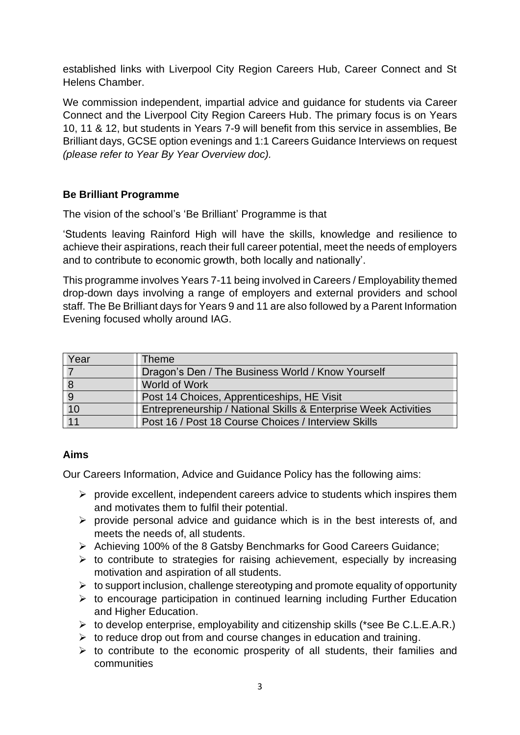established links with Liverpool City Region Careers Hub, Career Connect and St Helens Chamber.

We commission independent, impartial advice and guidance for students via Career Connect and the Liverpool City Region Careers Hub. The primary focus is on Years 10, 11 & 12, but students in Years 7-9 will benefit from this service in assemblies, Be Brilliant days, GCSE option evenings and 1:1 Careers Guidance Interviews on request *(please refer to Year By Year Overview doc).*

#### **Be Brilliant Programme**

The vision of the school's 'Be Brilliant' Programme is that

'Students leaving Rainford High will have the skills, knowledge and resilience to achieve their aspirations, reach their full career potential, meet the needs of employers and to contribute to economic growth, both locally and nationally'.

This programme involves Years 7-11 being involved in Careers / Employability themed drop-down days involving a range of employers and external providers and school staff. The Be Brilliant days for Years 9 and 11 are also followed by a Parent Information Evening focused wholly around IAG.

| Year            | Theme                                                           |
|-----------------|-----------------------------------------------------------------|
|                 | Dragon's Den / The Business World / Know Yourself               |
|                 | World of Work                                                   |
|                 | Post 14 Choices, Apprenticeships, HE Visit                      |
| 10              | Entrepreneurship / National Skills & Enterprise Week Activities |
| $\overline{11}$ | Post 16 / Post 18 Course Choices / Interview Skills             |

#### **Aims**

Our Careers Information, Advice and Guidance Policy has the following aims:

- $\triangleright$  provide excellent, independent careers advice to students which inspires them and motivates them to fulfil their potential.
- $\triangleright$  provide personal advice and quidance which is in the best interests of, and meets the needs of, all students.
- ➢ Achieving 100% of the 8 Gatsby Benchmarks for Good Careers Guidance;
- $\triangleright$  to contribute to strategies for raising achievement, especially by increasing motivation and aspiration of all students.
- $\triangleright$  to support inclusion, challenge stereotyping and promote equality of opportunity
- $\triangleright$  to encourage participation in continued learning including Further Education and Higher Education.
- ➢ to develop enterprise, employability and citizenship skills (\*see Be C.L.E.A.R.)
- $\triangleright$  to reduce drop out from and course changes in education and training.
- $\triangleright$  to contribute to the economic prosperity of all students, their families and communities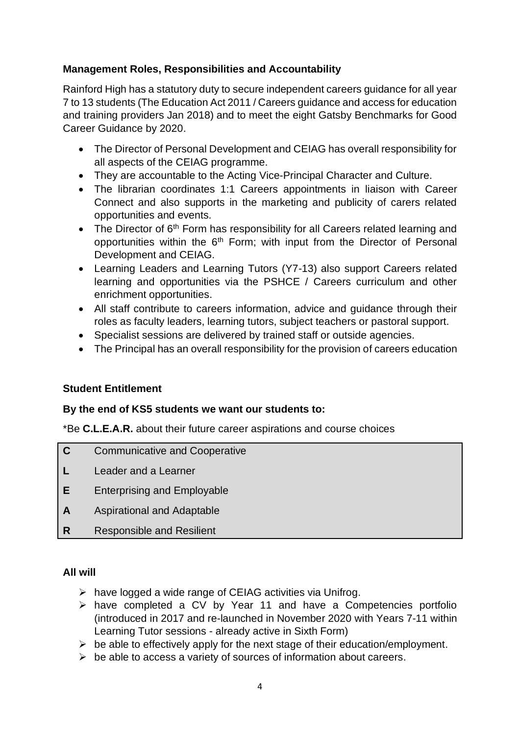#### **Management Roles, Responsibilities and Accountability**

Rainford High has a statutory duty to secure independent careers guidance for all year 7 to 13 students (The Education Act 2011 / Careers guidance and access for education and training providers Jan 2018) and to meet the eight Gatsby Benchmarks for Good Career Guidance by 2020.

- The Director of Personal Development and CEIAG has overall responsibility for all aspects of the CEIAG programme.
- They are accountable to the Acting Vice-Principal Character and Culture.
- The librarian coordinates 1:1 Careers appointments in liaison with Career Connect and also supports in the marketing and publicity of carers related opportunities and events.
- The Director of  $6<sup>th</sup>$  Form has responsibility for all Careers related learning and opportunities within the  $6<sup>th</sup>$  Form; with input from the Director of Personal Development and CEIAG.
- Learning Leaders and Learning Tutors (Y7-13) also support Careers related learning and opportunities via the PSHCE / Careers curriculum and other enrichment opportunities.
- All staff contribute to careers information, advice and guidance through their roles as faculty leaders, learning tutors, subject teachers or pastoral support.
- Specialist sessions are delivered by trained staff or outside agencies.
- The Principal has an overall responsibility for the provision of careers education

#### **Student Entitlement**

#### **By the end of KS5 students we want our students to:**

\*Be **C.L.E.A.R.** about their future career aspirations and course choices

- **C** Communicative and Cooperative
- **L** Leader and a Learner
- **E** Enterprising and Employable
- **A** Aspirational and Adaptable
- **R** Responsible and Resilient

#### **All will**

- $\triangleright$  have logged a wide range of CEIAG activities via Unifrog.
- ➢ have completed a CV by Year 11 and have a Competencies portfolio (introduced in 2017 and re-launched in November 2020 with Years 7-11 within Learning Tutor sessions - already active in Sixth Form)
- $\triangleright$  be able to effectively apply for the next stage of their education/employment.
- $\triangleright$  be able to access a variety of sources of information about careers.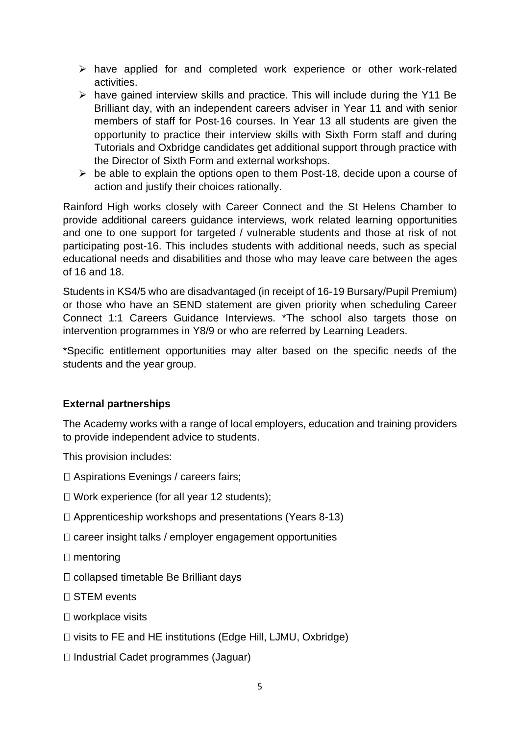- ➢ have applied for and completed work experience or other work-related activities.
- $\triangleright$  have gained interview skills and practice. This will include during the Y11 Be Brilliant day, with an independent careers adviser in Year 11 and with senior members of staff for Post-16 courses. In Year 13 all students are given the opportunity to practice their interview skills with Sixth Form staff and during Tutorials and Oxbridge candidates get additional support through practice with the Director of Sixth Form and external workshops.
- $\triangleright$  be able to explain the options open to them Post-18, decide upon a course of action and justify their choices rationally.

Rainford High works closely with Career Connect and the St Helens Chamber to provide additional careers guidance interviews, work related learning opportunities and one to one support for targeted / vulnerable students and those at risk of not participating post-16. This includes students with additional needs, such as special educational needs and disabilities and those who may leave care between the ages of 16 and 18.

Students in KS4/5 who are disadvantaged (in receipt of 16‐19 Bursary/Pupil Premium) or those who have an SEND statement are given priority when scheduling Career Connect 1:1 Careers Guidance Interviews. \*The school also targets those on intervention programmes in Y8/9 or who are referred by Learning Leaders.

\*Specific entitlement opportunities may alter based on the specific needs of the students and the year group.

#### **External partnerships**

The Academy works with a range of local employers, education and training providers to provide independent advice to students.

This provision includes:

- □ Aspirations Evenings / careers fairs;
- $\Box$  Work experience (for all year 12 students);
- $\Box$  Apprenticeship workshops and presentations (Years 8-13)
- $\Box$  career insight talks / employer engagement opportunities
- $\square$  mentoring
- $\Box$  collapsed timetable Be Brilliant days
- □ STEM events
- $\Box$  workplace visits
- $\Box$  visits to FE and HE institutions (Edge Hill, LJMU, Oxbridge)
- $\Box$  Industrial Cadet programmes (Jaguar)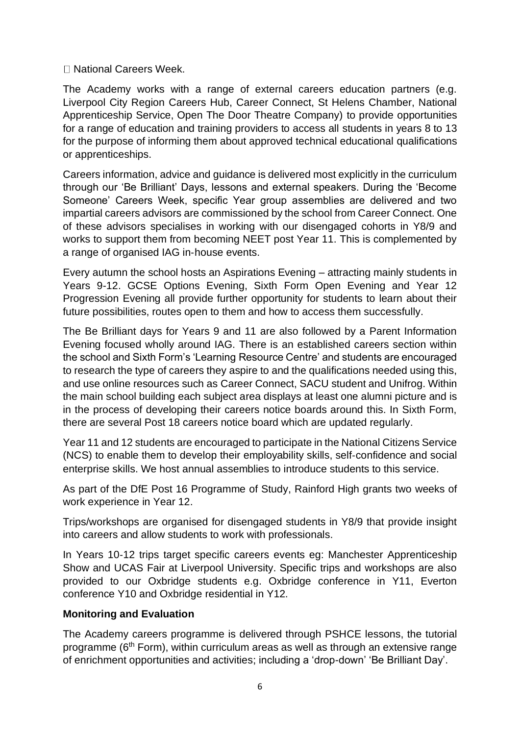□ National Careers Week.

The Academy works with a range of external careers education partners (e.g. Liverpool City Region Careers Hub, Career Connect, St Helens Chamber, National Apprenticeship Service, Open The Door Theatre Company) to provide opportunities for a range of education and training providers to access all students in years 8 to 13 for the purpose of informing them about approved technical educational qualifications or apprenticeships.

Careers information, advice and guidance is delivered most explicitly in the curriculum through our 'Be Brilliant' Days, lessons and external speakers. During the 'Become Someone' Careers Week, specific Year group assemblies are delivered and two impartial careers advisors are commissioned by the school from Career Connect. One of these advisors specialises in working with our disengaged cohorts in Y8/9 and works to support them from becoming NEET post Year 11. This is complemented by a range of organised IAG in‐house events.

Every autumn the school hosts an Aspirations Evening – attracting mainly students in Years 9-12. GCSE Options Evening, Sixth Form Open Evening and Year 12 Progression Evening all provide further opportunity for students to learn about their future possibilities, routes open to them and how to access them successfully.

The Be Brilliant days for Years 9 and 11 are also followed by a Parent Information Evening focused wholly around IAG. There is an established careers section within the school and Sixth Form's 'Learning Resource Centre' and students are encouraged to research the type of careers they aspire to and the qualifications needed using this, and use online resources such as Career Connect, SACU student and Unifrog. Within the main school building each subject area displays at least one alumni picture and is in the process of developing their careers notice boards around this. In Sixth Form, there are several Post 18 careers notice board which are updated regularly.

Year 11 and 12 students are encouraged to participate in the National Citizens Service (NCS) to enable them to develop their employability skills, self‐confidence and social enterprise skills. We host annual assemblies to introduce students to this service.

As part of the DfE Post 16 Programme of Study, Rainford High grants two weeks of work experience in Year 12.

Trips/workshops are organised for disengaged students in Y8/9 that provide insight into careers and allow students to work with professionals.

In Years 10-12 trips target specific careers events eg: Manchester Apprenticeship Show and UCAS Fair at Liverpool University. Specific trips and workshops are also provided to our Oxbridge students e.g. Oxbridge conference in Y11, Everton conference Y10 and Oxbridge residential in Y12.

#### **Monitoring and Evaluation**

The Academy careers programme is delivered through PSHCE lessons, the tutorial programme (6th Form), within curriculum areas as well as through an extensive range of enrichment opportunities and activities; including a 'drop-down' 'Be Brilliant Day'.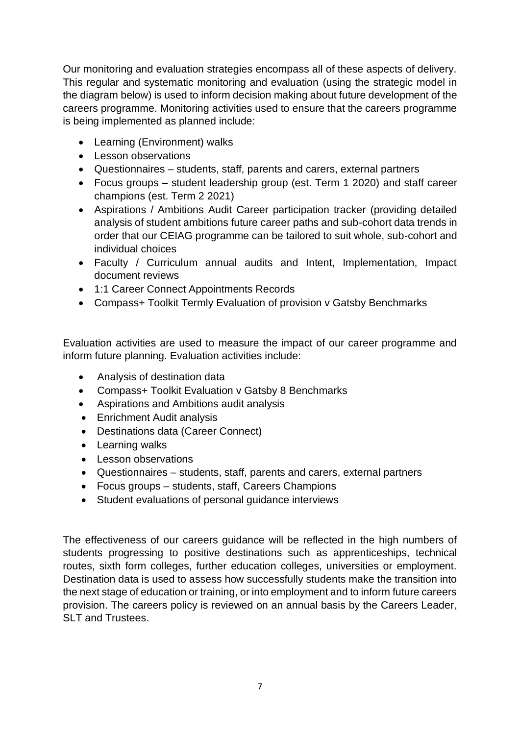Our monitoring and evaluation strategies encompass all of these aspects of delivery. This regular and systematic monitoring and evaluation (using the strategic model in the diagram below) is used to inform decision making about future development of the careers programme. Monitoring activities used to ensure that the careers programme is being implemented as planned include:

- Learning (Environment) walks
- Lesson observations
- Questionnaires students, staff, parents and carers, external partners
- Focus groups student leadership group (est. Term 1 2020) and staff career champions (est. Term 2 2021)
- Aspirations / Ambitions Audit Career participation tracker (providing detailed analysis of student ambitions future career paths and sub-cohort data trends in order that our CEIAG programme can be tailored to suit whole, sub-cohort and individual choices
- Faculty / Curriculum annual audits and Intent, Implementation, Impact document reviews
- 1:1 Career Connect Appointments Records
- Compass+ Toolkit Termly Evaluation of provision y Gatsby Benchmarks

Evaluation activities are used to measure the impact of our career programme and inform future planning. Evaluation activities include:

- Analysis of destination data
- Compass+ Toolkit Evaluation v Gatsby 8 Benchmarks
- Aspirations and Ambitions audit analysis
- Enrichment Audit analysis
- Destinations data (Career Connect)
- Learning walks
- Lesson observations
- Questionnaires students, staff, parents and carers, external partners
- Focus groups students, staff, Careers Champions
- Student evaluations of personal guidance interviews

The effectiveness of our careers guidance will be reflected in the high numbers of students progressing to positive destinations such as apprenticeships, technical routes, sixth form colleges, further education colleges, universities or employment. Destination data is used to assess how successfully students make the transition into the next stage of education or training, or into employment and to inform future careers provision. The careers policy is reviewed on an annual basis by the Careers Leader, SLT and Trustees.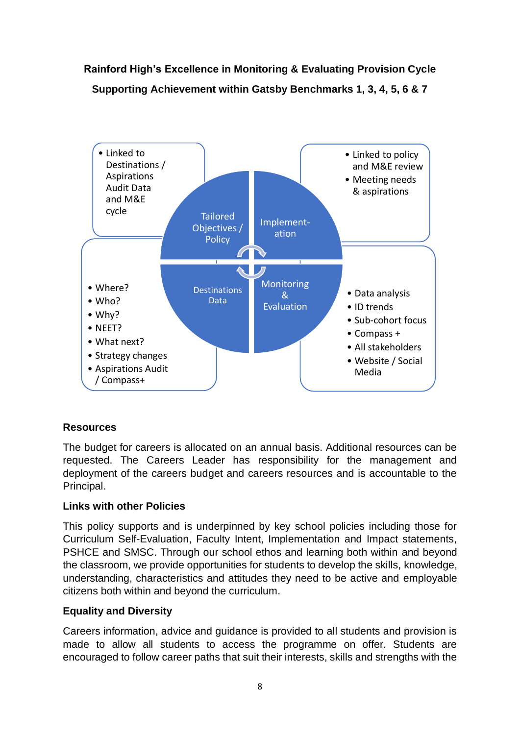**Rainford High's Excellence in Monitoring & Evaluating Provision Cycle Supporting Achievement within Gatsby Benchmarks 1, 3, 4, 5, 6 & 7**



#### **Resources**

The budget for careers is allocated on an annual basis. Additional resources can be requested. The Careers Leader has responsibility for the management and deployment of the careers budget and careers resources and is accountable to the Principal.

#### **Links with other Policies**

This policy supports and is underpinned by key school policies including those for Curriculum Self-Evaluation, Faculty Intent, Implementation and Impact statements, PSHCE and SMSC. Through our school ethos and learning both within and beyond the classroom, we provide opportunities for students to develop the skills, knowledge, understanding, characteristics and attitudes they need to be active and employable citizens both within and beyond the curriculum.

#### **Equality and Diversity**

Careers information, advice and guidance is provided to all students and provision is made to allow all students to access the programme on offer. Students are encouraged to follow career paths that suit their interests, skills and strengths with the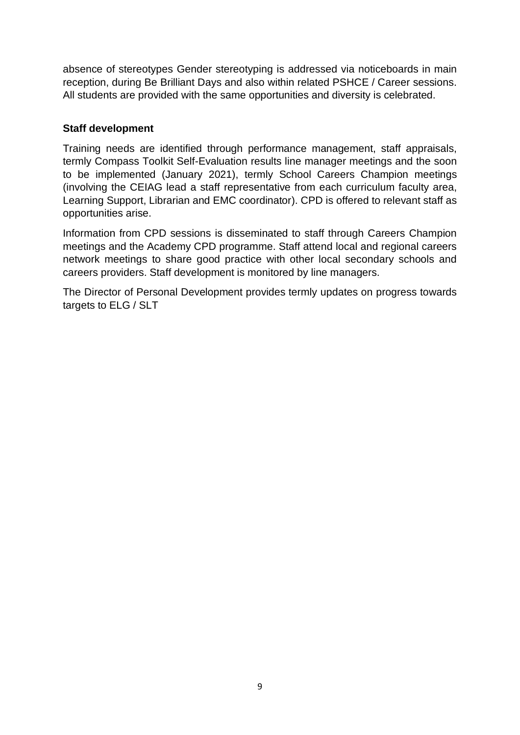absence of stereotypes Gender stereotyping is addressed via noticeboards in main reception, during Be Brilliant Days and also within related PSHCE / Career sessions. All students are provided with the same opportunities and diversity is celebrated.

#### **Staff development**

Training needs are identified through performance management, staff appraisals, termly Compass Toolkit Self-Evaluation results line manager meetings and the soon to be implemented (January 2021), termly School Careers Champion meetings (involving the CEIAG lead a staff representative from each curriculum faculty area, Learning Support, Librarian and EMC coordinator). CPD is offered to relevant staff as opportunities arise.

Information from CPD sessions is disseminated to staff through Careers Champion meetings and the Academy CPD programme. Staff attend local and regional careers network meetings to share good practice with other local secondary schools and careers providers. Staff development is monitored by line managers.

The Director of Personal Development provides termly updates on progress towards targets to ELG / SLT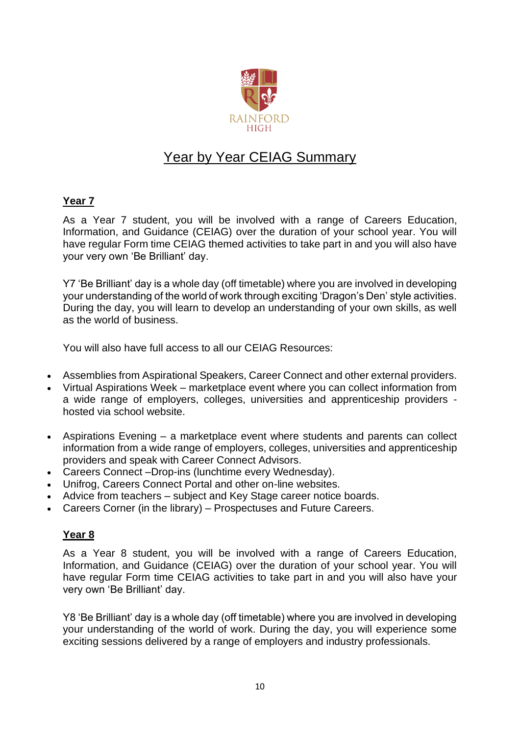

# Year by Year CEIAG Summary

#### **Year 7**

As a Year 7 student, you will be involved with a range of Careers Education, Information, and Guidance (CEIAG) over the duration of your school year. You will have regular Form time CEIAG themed activities to take part in and you will also have your very own 'Be Brilliant' day.

Y7 'Be Brilliant' day is a whole day (off timetable) where you are involved in developing your understanding of the world of work through exciting 'Dragon's Den' style activities. During the day, you will learn to develop an understanding of your own skills, as well as the world of business.

You will also have full access to all our CEIAG Resources:

- Assemblies from Aspirational Speakers, Career Connect and other external providers.
- Virtual Aspirations Week marketplace event where you can collect information from a wide range of employers, colleges, universities and apprenticeship providers hosted via school website.
- Aspirations Evening a marketplace event where students and parents can collect information from a wide range of employers, colleges, universities and apprenticeship providers and speak with Career Connect Advisors.
- Careers Connect –Drop-ins (lunchtime every Wednesday).
- Unifrog, Careers Connect Portal and other on-line websites.
- Advice from teachers subject and Key Stage career notice boards.
- Careers Corner (in the library) Prospectuses and Future Careers.

#### **Year 8**

As a Year 8 student, you will be involved with a range of Careers Education, Information, and Guidance (CEIAG) over the duration of your school year. You will have regular Form time CEIAG activities to take part in and you will also have your very own 'Be Brilliant' day.

Y8 'Be Brilliant' day is a whole day (off timetable) where you are involved in developing your understanding of the world of work. During the day, you will experience some exciting sessions delivered by a range of employers and industry professionals.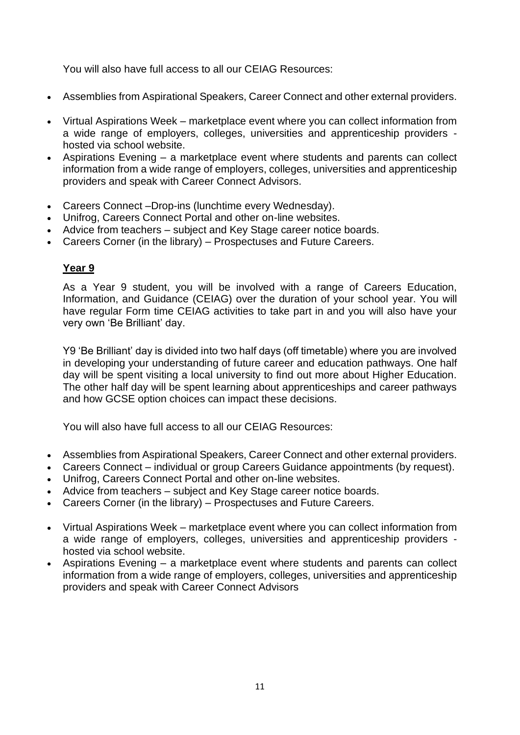You will also have full access to all our CEIAG Resources:

- Assemblies from Aspirational Speakers, Career Connect and other external providers.
- Virtual Aspirations Week marketplace event where you can collect information from a wide range of employers, colleges, universities and apprenticeship providers hosted via school website.
- Aspirations Evening a marketplace event where students and parents can collect information from a wide range of employers, colleges, universities and apprenticeship providers and speak with Career Connect Advisors.
- Careers Connect –Drop-ins (lunchtime every Wednesday).
- Unifrog, Careers Connect Portal and other on-line websites.
- Advice from teachers subject and Key Stage career notice boards.
- Careers Corner (in the library) Prospectuses and Future Careers.

#### **Year 9**

As a Year 9 student, you will be involved with a range of Careers Education, Information, and Guidance (CEIAG) over the duration of your school year. You will have regular Form time CEIAG activities to take part in and you will also have your very own 'Be Brilliant' day.

Y9 'Be Brilliant' day is divided into two half days (off timetable) where you are involved in developing your understanding of future career and education pathways. One half day will be spent visiting a local university to find out more about Higher Education. The other half day will be spent learning about apprenticeships and career pathways and how GCSE option choices can impact these decisions.

You will also have full access to all our CEIAG Resources:

- Assemblies from Aspirational Speakers, Career Connect and other external providers.
- Careers Connect individual or group Careers Guidance appointments (by request).
- Unifrog, Careers Connect Portal and other on-line websites.
- Advice from teachers subject and Key Stage career notice boards.
- Careers Corner (in the library) Prospectuses and Future Careers.
- Virtual Aspirations Week marketplace event where you can collect information from a wide range of employers, colleges, universities and apprenticeship providers hosted via school website.
- Aspirations Evening a marketplace event where students and parents can collect information from a wide range of employers, colleges, universities and apprenticeship providers and speak with Career Connect Advisors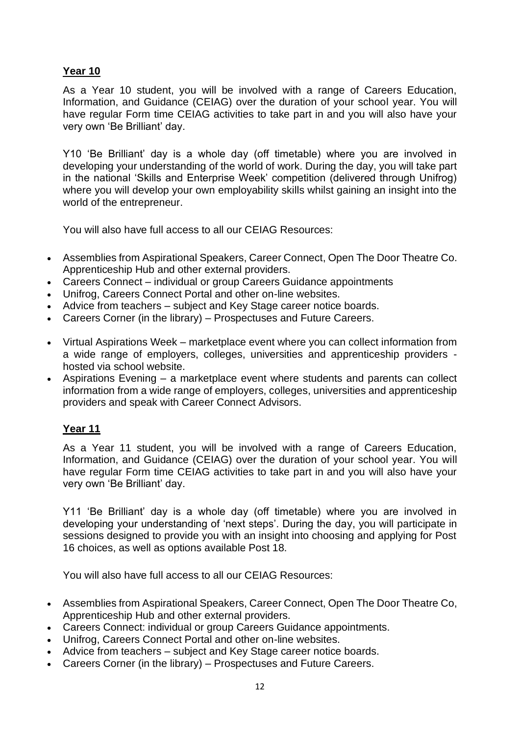#### **Year 10**

As a Year 10 student, you will be involved with a range of Careers Education, Information, and Guidance (CEIAG) over the duration of your school year. You will have regular Form time CEIAG activities to take part in and you will also have your very own 'Be Brilliant' day.

Y10 'Be Brilliant' day is a whole day (off timetable) where you are involved in developing your understanding of the world of work. During the day, you will take part in the national 'Skills and Enterprise Week' competition (delivered through Unifrog) where you will develop your own employability skills whilst gaining an insight into the world of the entrepreneur.

You will also have full access to all our CEIAG Resources:

- Assemblies from Aspirational Speakers, Career Connect, Open The Door Theatre Co. Apprenticeship Hub and other external providers.
- Careers Connect individual or group Careers Guidance appointments
- Unifrog, Careers Connect Portal and other on-line websites.
- Advice from teachers subject and Key Stage career notice boards.
- Careers Corner (in the library) Prospectuses and Future Careers.
- Virtual Aspirations Week marketplace event where you can collect information from a wide range of employers, colleges, universities and apprenticeship providers hosted via school website.
- Aspirations Evening a marketplace event where students and parents can collect information from a wide range of employers, colleges, universities and apprenticeship providers and speak with Career Connect Advisors.

#### **Year 11**

As a Year 11 student, you will be involved with a range of Careers Education, Information, and Guidance (CEIAG) over the duration of your school year. You will have regular Form time CEIAG activities to take part in and you will also have your very own 'Be Brilliant' day.

Y11 'Be Brilliant' day is a whole day (off timetable) where you are involved in developing your understanding of 'next steps'. During the day, you will participate in sessions designed to provide you with an insight into choosing and applying for Post 16 choices, as well as options available Post 18.

You will also have full access to all our CEIAG Resources:

- Assemblies from Aspirational Speakers, Career Connect, Open The Door Theatre Co, Apprenticeship Hub and other external providers.
- Careers Connect: individual or group Careers Guidance appointments.
- Unifrog, Careers Connect Portal and other on-line websites.
- Advice from teachers subject and Key Stage career notice boards.
- Careers Corner (in the library) Prospectuses and Future Careers.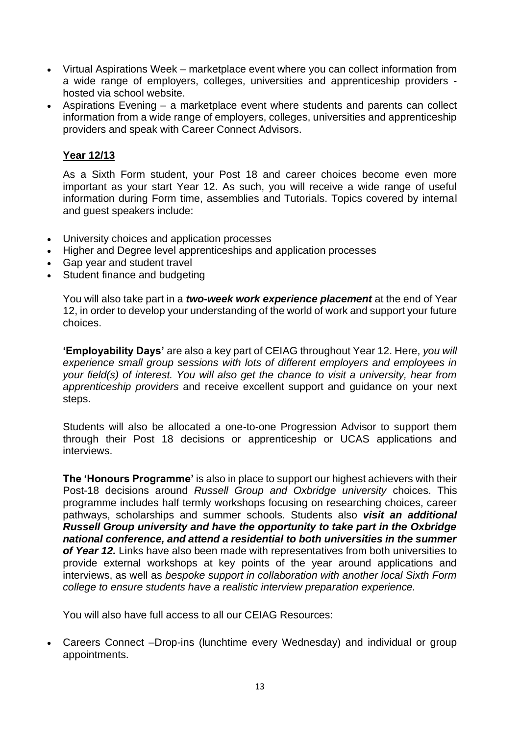- Virtual Aspirations Week marketplace event where you can collect information from a wide range of employers, colleges, universities and apprenticeship providers hosted via school website.
- Aspirations Evening a marketplace event where students and parents can collect information from a wide range of employers, colleges, universities and apprenticeship providers and speak with Career Connect Advisors.

#### **Year 12/13**

As a Sixth Form student, your Post 18 and career choices become even more important as your start Year 12. As such, you will receive a wide range of useful information during Form time, assemblies and Tutorials. Topics covered by internal and guest speakers include:

- University choices and application processes
- Higher and Degree level apprenticeships and application processes
- Gap year and student travel
- Student finance and budgeting

You will also take part in a *two-week work experience placement* at the end of Year 12, in order to develop your understanding of the world of work and support your future choices.

**'Employability Days'** are also a key part of CEIAG throughout Year 12. Here, *you will experience small group sessions with lots of different employers and employees in your field(s) of interest. You will also get the chance to visit a university, hear from apprenticeship providers* and receive excellent support and guidance on your next steps.

Students will also be allocated a one-to-one Progression Advisor to support them through their Post 18 decisions or apprenticeship or UCAS applications and interviews.

**The 'Honours Programme'** is also in place to support our highest achievers with their Post-18 decisions around *Russell Group and Oxbridge university* choices. This programme includes half termly workshops focusing on researching choices, career pathways, scholarships and summer schools. Students also *visit an additional Russell Group university and have the opportunity to take part in the Oxbridge national conference, and attend a residential to both universities in the summer of Year 12.* Links have also been made with representatives from both universities to provide external workshops at key points of the year around applications and interviews, as well as *bespoke support in collaboration with another local Sixth Form college to ensure students have a realistic interview preparation experience.*

You will also have full access to all our CEIAG Resources:

• Careers Connect –Drop-ins (lunchtime every Wednesday) and individual or group appointments.